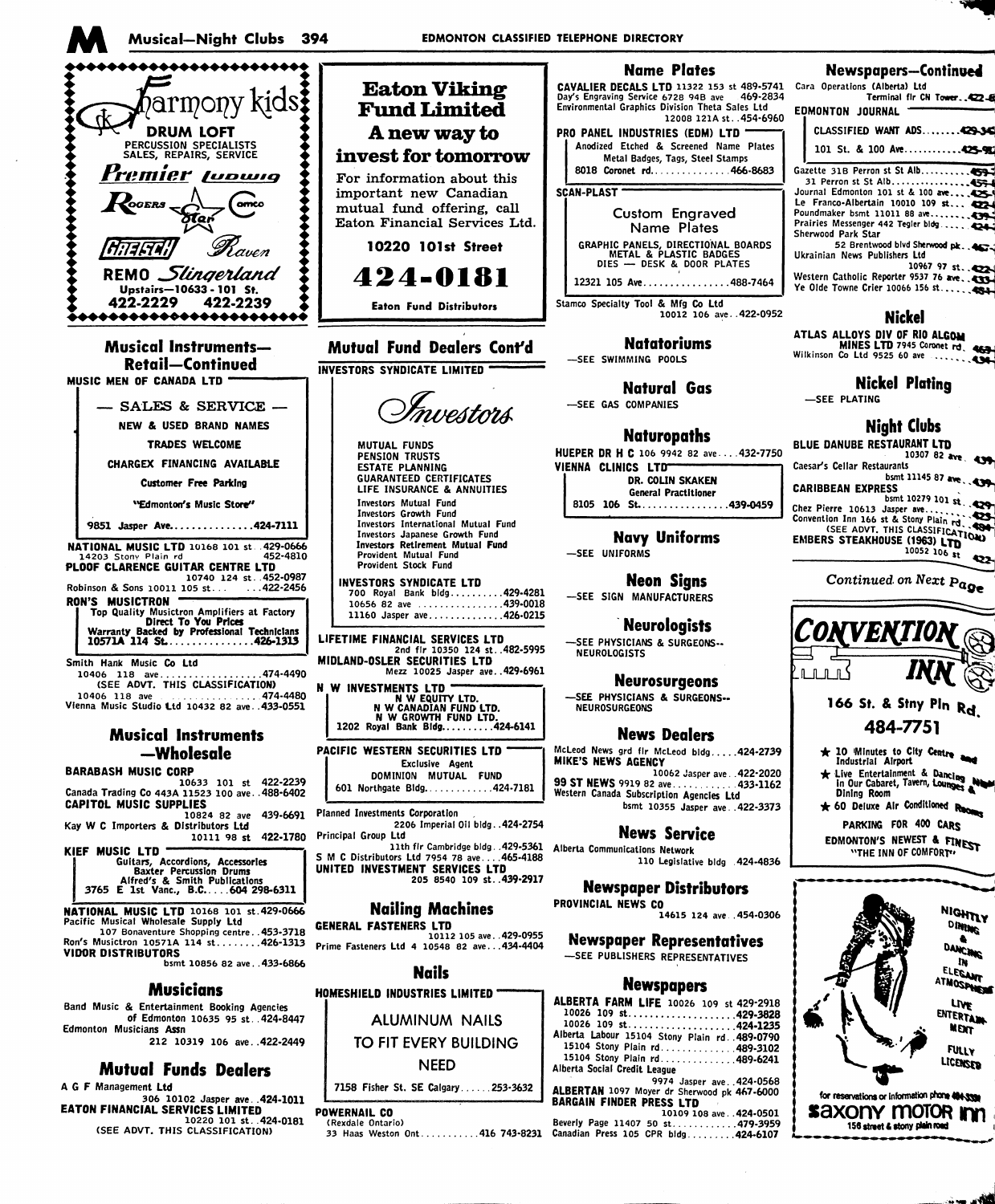

of Edmonton 10635 95 st. 424-8447 Edmonton Musicians Assn 212 10319 106 ave. . 422-2449

# **Mutual Funds Dealers**

A G F Management Ltd A G F Management Lub<br>206 10102 Jasper ave..424-1011<br>EATON FINANCIAL SERVICES LIMITED<br>(SEE ADVT, THIS CLASSIFICATION)

10026 109 st...........................424-1235 Alberta Labour 15104 Stony Plain rd. 489-0790

15104 Stony Plain rd. . . . . . . . . . . . . 489-3102 15104 Stony Plain rd. . . . . . . . . . . . . 489-6241 Alberta Social Credit League 9974 Jasper ave..424-0568

ALBERTAN 1097 Moyer dr Sherwood pk 467-6000<br>BARGAIN FINDER PRESS LTD<br>10109 108 ave...424-0501<br>170,3959

101 St. & 100 Ave.............425-90

MINES LTD 7945 Coronet rd. 463

10307 82 ave. **AND** 

 $55$  bsmt 10279 101 st.



- 
- 
- 



TO FIT EVERY BUILDING **NEED** 

7158 Fisher St. SE Calgary......253-3632

# POWERNAIL CO

**ALUMINUM NAILS**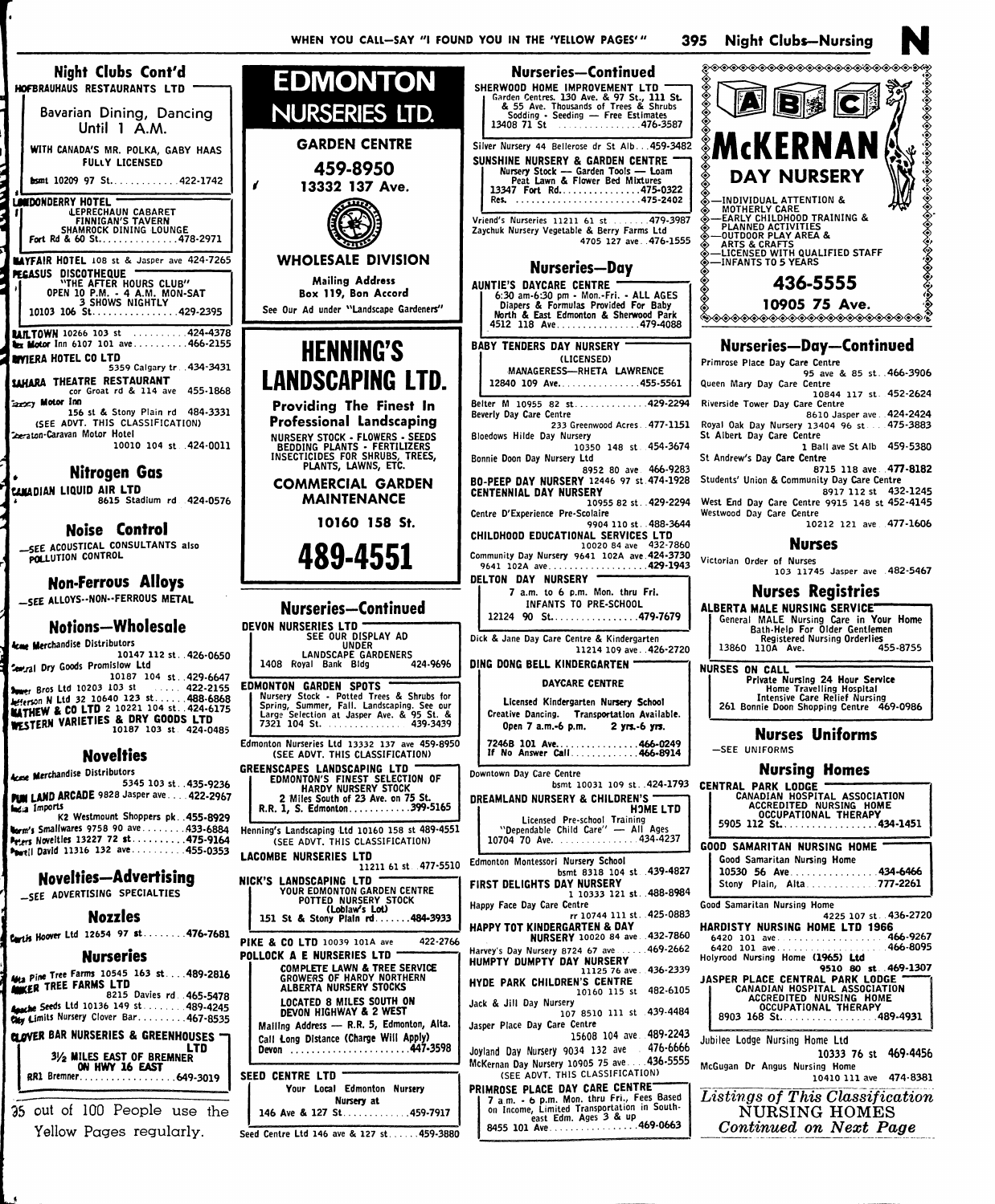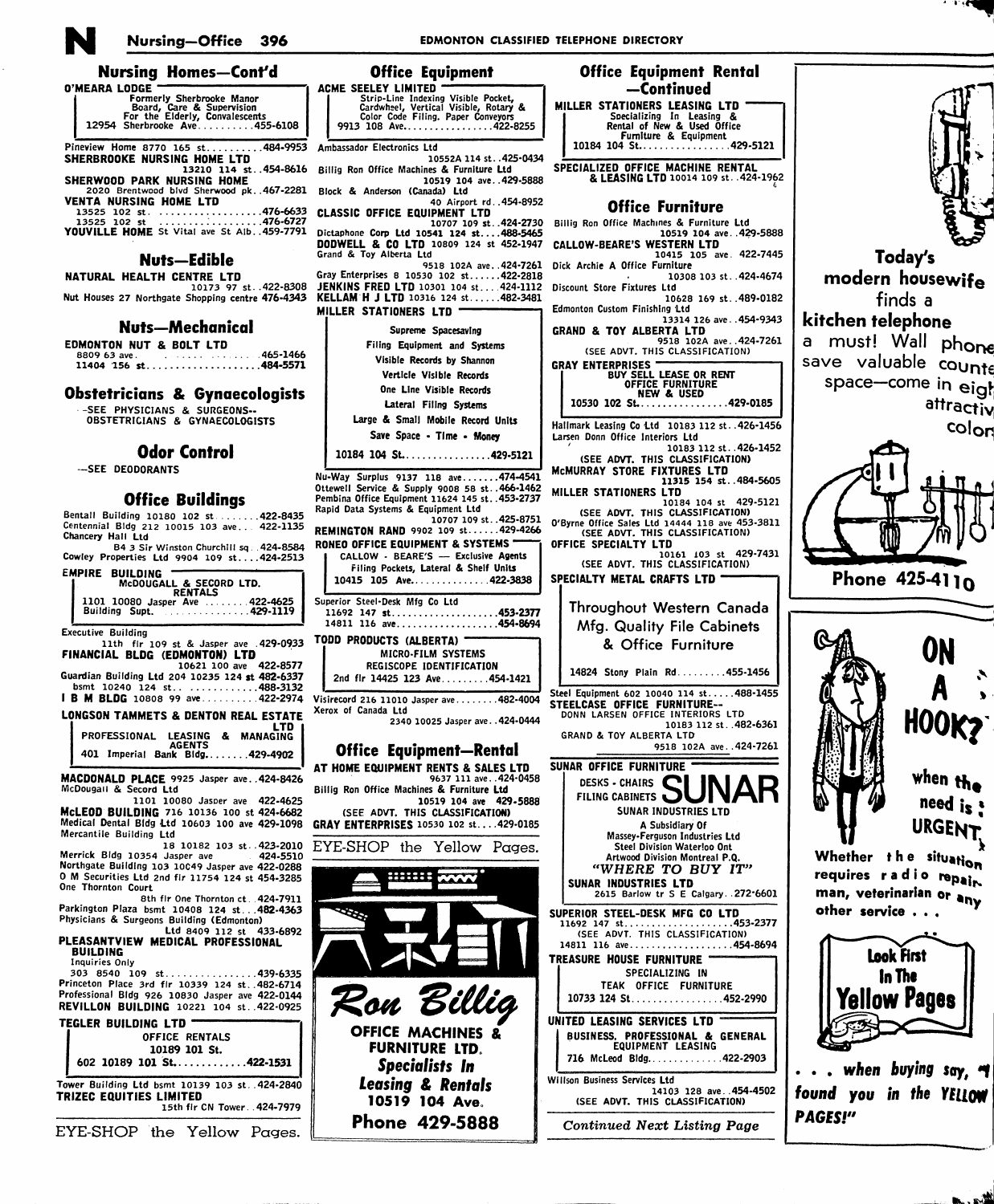

## Nursing-Office 396

# **EDMONTON CLASSIFIED TELEPHONE DIRECTORY**